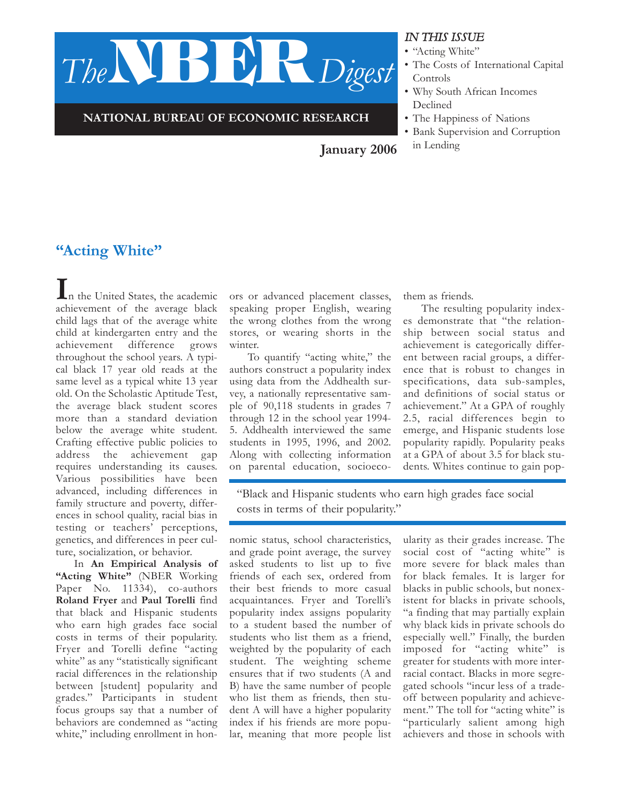

**NATIONAL BUREAU OF ECONOMIC RESEARCH**

#### *IN THIS ISSUE*

- "Acting White"
- The Costs of International Capital Controls
- Why South African Incomes Declined
- The Happiness of Nations
- Bank Supervision and Corruption

**January 2006** in Lending

# **"Acting White"**

I<sub>n the United States, the academic</sub> achievement of the average black child lags that of the average white child at kindergarten entry and the achievement difference grows throughout the school years. A typical black 17 year old reads at the same level as a typical white 13 year old. On the Scholastic Aptitude Test, the average black student scores more than a standard deviation below the average white student. Crafting effective public policies to address the achievement gap requires understanding its causes. Various possibilities have been advanced, including differences in family structure and poverty, differences in school quality, racial bias in testing or teachers' perceptions, genetics, and differences in peer culture, socialization, or behavior.

In **An Empirical Analysis of "Acting White"** (NBER Working Paper No. 11334), co-authors **Roland Fryer** and **Paul Torelli** find that black and Hispanic students who earn high grades face social costs in terms of their popularity. Fryer and Torelli define "acting white" as any "statistically significant racial differences in the relationship between [student] popularity and grades." Participants in student focus groups say that a number of behaviors are condemned as "acting white," including enrollment in honors or advanced placement classes, speaking proper English, wearing the wrong clothes from the wrong stores, or wearing shorts in the winter.

To quantify "acting white," the authors construct a popularity index using data from the Addhealth survey, a nationally representative sample of 90,118 students in grades 7 through 12 in the school year 1994- 5. Addhealth interviewed the same students in 1995, 1996, and 2002. Along with collecting information on parental education, socioecothem as friends.

The resulting popularity indexes demonstrate that "the relationship between social status and achievement is categorically different between racial groups, a difference that is robust to changes in specifications, data sub-samples, and definitions of social status or achievement." At a GPA of roughly 2.5, racial differences begin to emerge, and Hispanic students lose popularity rapidly. Popularity peaks at a GPA of about 3.5 for black students. Whites continue to gain pop-

"Black and Hispanic students who earn high grades face social costs in terms of their popularity."

nomic status, school characteristics, and grade point average, the survey asked students to list up to five friends of each sex, ordered from their best friends to more casual acquaintances. Fryer and Torelli's popularity index assigns popularity to a student based the number of students who list them as a friend, weighted by the popularity of each student. The weighting scheme ensures that if two students (A and B) have the same number of people who list them as friends, then student A will have a higher popularity index if his friends are more popular, meaning that more people list ularity as their grades increase. The social cost of "acting white" is more severe for black males than for black females. It is larger for blacks in public schools, but nonexistent for blacks in private schools, "a finding that may partially explain why black kids in private schools do especially well." Finally, the burden imposed for "acting white" is greater for students with more interracial contact. Blacks in more segregated schools "incur less of a tradeoff between popularity and achievement." The toll for "acting white" is "particularly salient among high achievers and those in schools with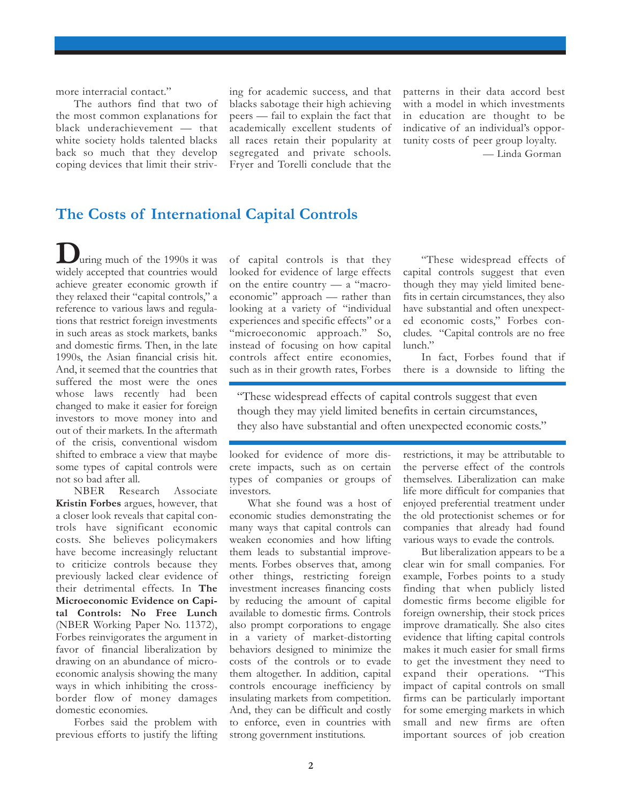more interracial contact."

The authors find that two of the most common explanations for black underachievement — that white society holds talented blacks back so much that they develop coping devices that limit their striv-

ing for academic success, and that blacks sabotage their high achieving peers — fail to explain the fact that academically excellent students of all races retain their popularity at segregated and private schools. Fryer and Torelli conclude that the patterns in their data accord best with a model in which investments in education are thought to be indicative of an individual's opportunity costs of peer group loyalty.

— Linda Gorman

### **The Costs of International Capital Controls**

**D**uring much of the 1990s it was widely accepted that countries would achieve greater economic growth if they relaxed their "capital controls," a reference to various laws and regulations that restrict foreign investments in such areas as stock markets, banks and domestic firms. Then, in the late 1990s, the Asian financial crisis hit. And, it seemed that the countries that suffered the most were the ones whose laws recently had been changed to make it easier for foreign investors to move money into and out of their markets. In the aftermath of the crisis, conventional wisdom shifted to embrace a view that maybe some types of capital controls were not so bad after all.

NBER Research Associate **Kristin Forbes** argues, however, that a closer look reveals that capital controls have significant economic costs. She believes policymakers have become increasingly reluctant to criticize controls because they previously lacked clear evidence of their detrimental effects. In **The Microeconomic Evidence on Capital Controls: No Free Lunch** (NBER Working Paper No. 11372), Forbes reinvigorates the argument in favor of financial liberalization by drawing on an abundance of microeconomic analysis showing the many ways in which inhibiting the crossborder flow of money damages domestic economies.

Forbes said the problem with previous efforts to justify the lifting

of capital controls is that they looked for evidence of large effects on the entire country — a "macroeconomic" approach — rather than looking at a variety of "individual experiences and specific effects" or a "microeconomic approach." So, instead of focusing on how capital controls affect entire economies, such as in their growth rates, Forbes

"These widespread effects of capital controls suggest that even though they may yield limited benefits in certain circumstances, they also have substantial and often unexpected economic costs," Forbes concludes. "Capital controls are no free lunch."

In fact, Forbes found that if there is a downside to lifting the

"These widespread effects of capital controls suggest that even though they may yield limited benefits in certain circumstances, they also have substantial and often unexpected economic costs."

looked for evidence of more discrete impacts, such as on certain types of companies or groups of investors.

What she found was a host of economic studies demonstrating the many ways that capital controls can weaken economies and how lifting them leads to substantial improvements. Forbes observes that, among other things, restricting foreign investment increases financing costs by reducing the amount of capital available to domestic firms. Controls also prompt corporations to engage in a variety of market-distorting behaviors designed to minimize the costs of the controls or to evade them altogether. In addition, capital controls encourage inefficiency by insulating markets from competition. And, they can be difficult and costly to enforce, even in countries with strong government institutions.

restrictions, it may be attributable to the perverse effect of the controls themselves. Liberalization can make life more difficult for companies that enjoyed preferential treatment under the old protectionist schemes or for companies that already had found various ways to evade the controls.

But liberalization appears to be a clear win for small companies. For example, Forbes points to a study finding that when publicly listed domestic firms become eligible for foreign ownership, their stock prices improve dramatically. She also cites evidence that lifting capital controls makes it much easier for small firms to get the investment they need to expand their operations. "This impact of capital controls on small firms can be particularly important for some emerging markets in which small and new firms are often important sources of job creation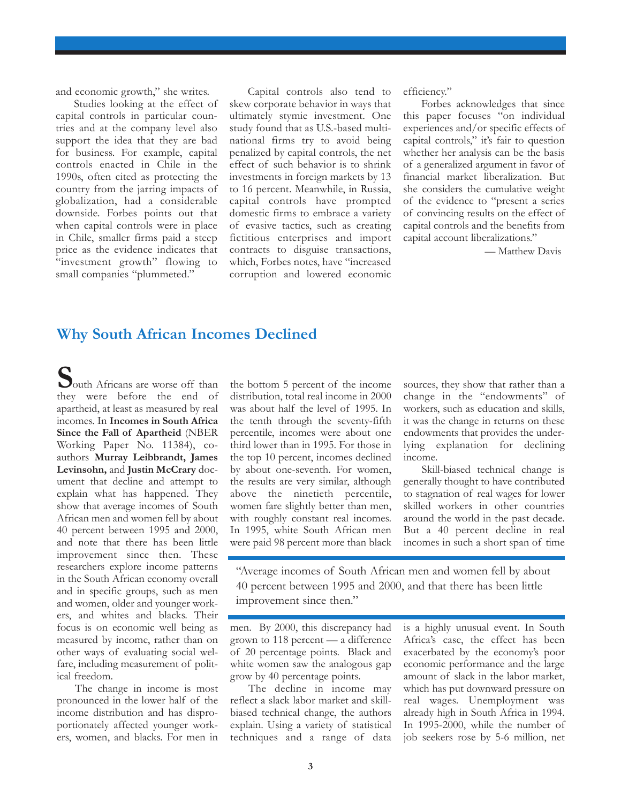and economic growth," she writes.

Studies looking at the effect of capital controls in particular countries and at the company level also support the idea that they are bad for business. For example, capital controls enacted in Chile in the 1990s, often cited as protecting the country from the jarring impacts of globalization, had a considerable downside. Forbes points out that when capital controls were in place in Chile, smaller firms paid a steep price as the evidence indicates that "investment growth" flowing to small companies "plummeted."

Capital controls also tend to skew corporate behavior in ways that ultimately stymie investment. One study found that as U.S.-based multinational firms try to avoid being penalized by capital controls, the net effect of such behavior is to shrink investments in foreign markets by 13 to 16 percent. Meanwhile, in Russia, capital controls have prompted domestic firms to embrace a variety of evasive tactics, such as creating fictitious enterprises and import contracts to disguise transactions, which, Forbes notes, have "increased corruption and lowered economic efficiency."

Forbes acknowledges that since this paper focuses "on individual experiences and/or specific effects of capital controls," it's fair to question whether her analysis can be the basis of a generalized argument in favor of financial market liberalization. But she considers the cumulative weight of the evidence to "present a series of convincing results on the effect of capital controls and the benefits from capital account liberalizations."

— Matthew Davis

#### **Why South African Incomes Declined**

South Africans are worse off than they were before the end of apartheid, at least as measured by real incomes. In **Incomes in South Africa Since the Fall of Apartheid** (NBER Working Paper No. 11384), coauthors **Murray Leibbrandt, James Levinsohn,** and **Justin McCrary** document that decline and attempt to explain what has happened. They show that average incomes of South African men and women fell by about 40 percent between 1995 and 2000, and note that there has been little improvement since then. These researchers explore income patterns in the South African economy overall and in specific groups, such as men and women, older and younger workers, and whites and blacks. Their focus is on economic well being as measured by income, rather than on other ways of evaluating social welfare, including measurement of political freedom.

The change in income is most pronounced in the lower half of the income distribution and has disproportionately affected younger workers, women, and blacks. For men in the bottom 5 percent of the income distribution, total real income in 2000 was about half the level of 1995. In the tenth through the seventy-fifth percentile, incomes were about one third lower than in 1995. For those in the top 10 percent, incomes declined by about one-seventh. For women, the results are very similar, although above the ninetieth percentile, women fare slightly better than men, with roughly constant real incomes. In 1995, white South African men were paid 98 percent more than black sources, they show that rather than a change in the "endowments" of workers, such as education and skills, it was the change in returns on these endowments that provides the underlying explanation for declining income.

Skill-biased technical change is generally thought to have contributed to stagnation of real wages for lower skilled workers in other countries around the world in the past decade. But a 40 percent decline in real incomes in such a short span of time

"Average incomes of South African men and women fell by about 40 percent between 1995 and 2000, and that there has been little improvement since then."

men. By 2000, this discrepancy had grown to 118 percent — a difference of 20 percentage points. Black and white women saw the analogous gap grow by 40 percentage points.

The decline in income may reflect a slack labor market and skillbiased technical change, the authors explain. Using a variety of statistical techniques and a range of data is a highly unusual event. In South Africa's case, the effect has been exacerbated by the economy's poor economic performance and the large amount of slack in the labor market, which has put downward pressure on real wages. Unemployment was already high in South Africa in 1994. In 1995-2000, while the number of job seekers rose by 5-6 million, net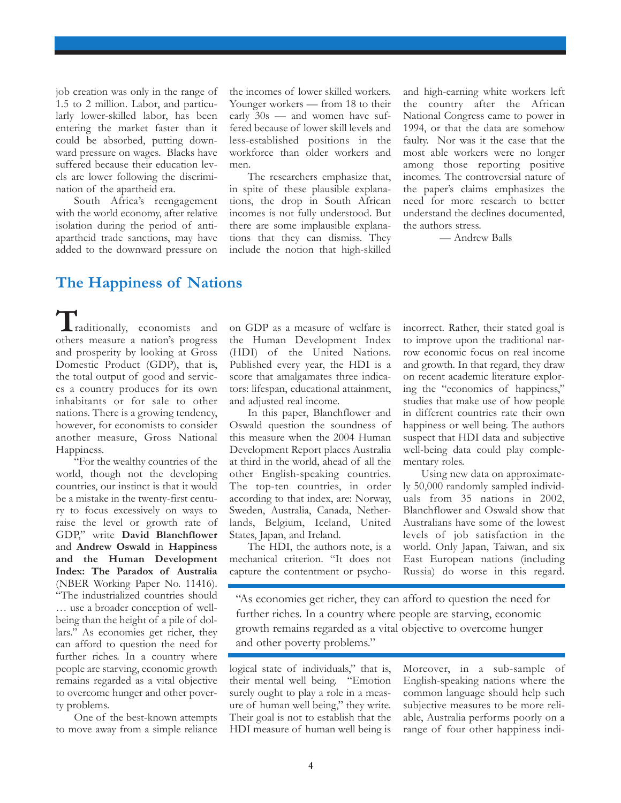job creation was only in the range of 1.5 to 2 million. Labor, and particularly lower-skilled labor, has been entering the market faster than it could be absorbed, putting downward pressure on wages. Blacks have suffered because their education levels are lower following the discrimination of the apartheid era.

South Africa's reengagement with the world economy, after relative isolation during the period of antiapartheid trade sanctions, may have added to the downward pressure on

the incomes of lower skilled workers. Younger workers — from 18 to their early 30s — and women have suffered because of lower skill levels and less-established positions in the workforce than older workers and men.

The researchers emphasize that, in spite of these plausible explanations, the drop in South African incomes is not fully understood. But there are some implausible explanations that they can dismiss. They include the notion that high-skilled

and high-earning white workers left the country after the African National Congress came to power in 1994, or that the data are somehow faulty. Nor was it the case that the most able workers were no longer among those reporting positive incomes. The controversial nature of the paper's claims emphasizes the need for more research to better understand the declines documented, the authors stress.

— Andrew Balls

#### **The Happiness of Nations**

raditionally, economists and  $\prod$ <sub>raditionally, economists and others measure a nation's progress</sub> and prosperity by looking at Gross Domestic Product (GDP), that is, the total output of good and services a country produces for its own inhabitants or for sale to other nations. There is a growing tendency, however, for economists to consider another measure, Gross National Happiness.

"For the wealthy countries of the world, though not the developing countries, our instinct is that it would be a mistake in the twenty-first century to focus excessively on ways to raise the level or growth rate of GDP," write **David Blanchflower** and **Andrew Oswald** in **Happiness and the Human Development Index: The Paradox of Australia** (NBER Working Paper No. 11416). "The industrialized countries should … use a broader conception of wellbeing than the height of a pile of dollars." As economies get richer, they can afford to question the need for further riches. In a country where people are starving, economic growth remains regarded as a vital objective to overcome hunger and other poverty problems.

One of the best-known attempts to move away from a simple reliance on GDP as a measure of welfare is the Human Development Index (HDI) of the United Nations. Published every year, the HDI is a score that amalgamates three indicators: lifespan, educational attainment, and adjusted real income.

In this paper, Blanchflower and Oswald question the soundness of this measure when the 2004 Human Development Report places Australia at third in the world, ahead of all the other English-speaking countries. The top-ten countries, in order according to that index, are: Norway, Sweden, Australia, Canada, Netherlands, Belgium, Iceland, United States, Japan, and Ireland.

The HDI, the authors note, is a mechanical criterion. "It does not capture the contentment or psychoincorrect. Rather, their stated goal is to improve upon the traditional narrow economic focus on real income and growth. In that regard, they draw on recent academic literature exploring the "economics of happiness," studies that make use of how people in different countries rate their own happiness or well being. The authors suspect that HDI data and subjective well-being data could play complementary roles.

Using new data on approximately 50,000 randomly sampled individuals from 35 nations in 2002, Blanchflower and Oswald show that Australians have some of the lowest levels of job satisfaction in the world. Only Japan, Taiwan, and six East European nations (including Russia) do worse in this regard.

"As economies get richer, they can afford to question the need for further riches. In a country where people are starving, economic growth remains regarded as a vital objective to overcome hunger and other poverty problems."

logical state of individuals," that is, their mental well being. "Emotion surely ought to play a role in a measure of human well being," they write. Their goal is not to establish that the HDI measure of human well being is

Moreover, in a sub-sample of English-speaking nations where the common language should help such subjective measures to be more reliable, Australia performs poorly on a range of four other happiness indi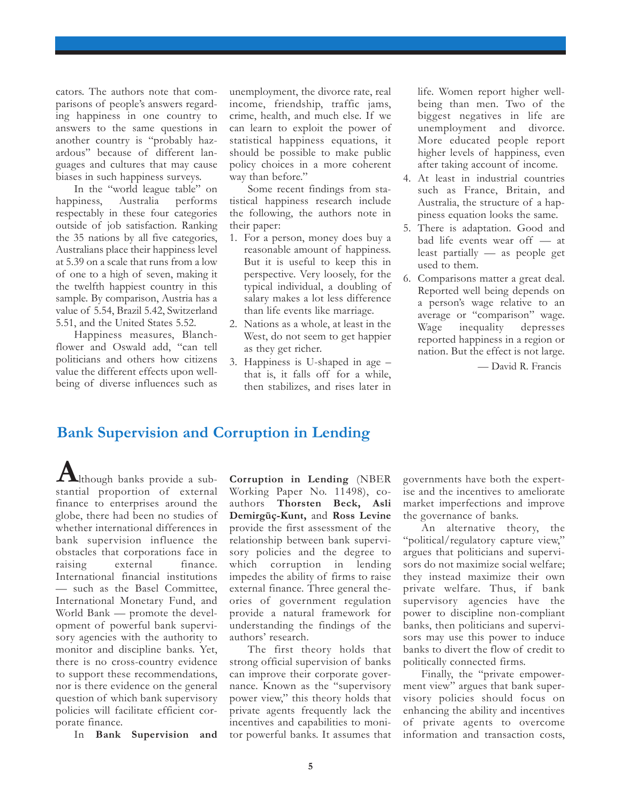cators. The authors note that comparisons of people's answers regarding happiness in one country to answers to the same questions in another country is "probably hazardous" because of different languages and cultures that may cause biases in such happiness surveys.

In the "world league table" on happiness, Australia performs respectably in these four categories outside of job satisfaction. Ranking the 35 nations by all five categories, Australians place their happiness level at 5.39 on a scale that runs from a low of one to a high of seven, making it the twelfth happiest country in this sample. By comparison, Austria has a value of 5.54, Brazil 5.42, Switzerland 5.51, and the United States 5.52.

Happiness measures, Blanchflower and Oswald add, "can tell politicians and others how citizens value the different effects upon wellbeing of diverse influences such as

unemployment, the divorce rate, real income, friendship, traffic jams, crime, health, and much else. If we can learn to exploit the power of statistical happiness equations, it should be possible to make public policy choices in a more coherent way than before."

Some recent findings from statistical happiness research include the following, the authors note in their paper:

- 1. For a person, money does buy a reasonable amount of happiness. But it is useful to keep this in perspective. Very loosely, for the typical individual, a doubling of salary makes a lot less difference than life events like marriage.
- 2. Nations as a whole, at least in the West, do not seem to get happier as they get richer.
- 3. Happiness is U-shaped in age that is, it falls off for a while, then stabilizes, and rises later in

life. Women report higher wellbeing than men. Two of the biggest negatives in life are unemployment and divorce. More educated people report higher levels of happiness, even after taking account of income.

- 4. At least in industrial countries such as France, Britain, and Australia, the structure of a happiness equation looks the same.
- 5. There is adaptation. Good and bad life events wear off — at least partially — as people get used to them.
- 6. Comparisons matter a great deal. Reported well being depends on a person's wage relative to an average or "comparison" wage. Wage inequality depresses reported happiness in a region or nation. But the effect is not large.

— David R. Francis

## **Bank Supervision and Corruption in Lending**

lthough banks provide a sub-**A**stantial proportion of external finance to enterprises around the globe, there had been no studies of whether international differences in bank supervision influence the obstacles that corporations face in raising external finance. International financial institutions — such as the Basel Committee, International Monetary Fund, and World Bank — promote the development of powerful bank supervisory agencies with the authority to monitor and discipline banks. Yet, there is no cross-country evidence to support these recommendations, nor is there evidence on the general question of which bank supervisory policies will facilitate efficient corporate finance.

In **Bank Supervision and**

**Corruption in Lending** (NBER Working Paper No. 11498), coauthors **Thorsten Beck, Asli Demirgüç-Kunt,** and **Ross Levine** provide the first assessment of the relationship between bank supervisory policies and the degree to which corruption in lending impedes the ability of firms to raise external finance. Three general theories of government regulation provide a natural framework for understanding the findings of the authors' research.

The first theory holds that strong official supervision of banks can improve their corporate governance. Known as the "supervisory power view," this theory holds that private agents frequently lack the incentives and capabilities to monitor powerful banks. It assumes that

governments have both the expertise and the incentives to ameliorate market imperfections and improve the governance of banks.

An alternative theory, the "political/regulatory capture view," argues that politicians and supervisors do not maximize social welfare; they instead maximize their own private welfare. Thus, if bank supervisory agencies have the power to discipline non-compliant banks, then politicians and supervisors may use this power to induce banks to divert the flow of credit to politically connected firms.

Finally, the "private empowerment view" argues that bank supervisory policies should focus on enhancing the ability and incentives of private agents to overcome information and transaction costs,